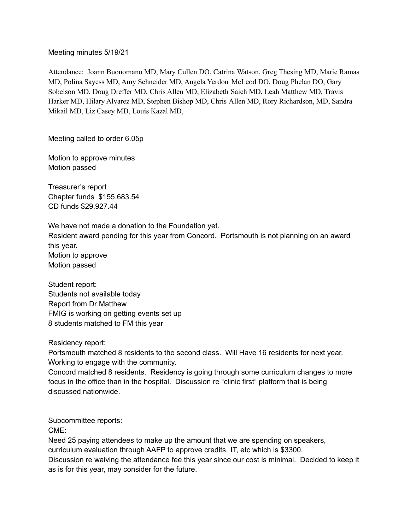## Meeting minutes 5/19/21

Attendance: Joann Buonomano MD, Mary Cullen DO, Catrina Watson, Greg Thesing MD, Marie Ramas MD, Polina Sayess MD, Amy Schneider MD, Angela Yerdon McLeod DO, Doug Phelan DO, Gary Sobelson MD, Doug Dreffer MD, Chris Allen MD, Elizabeth Saich MD, Leah Matthew MD, Travis Harker MD, Hilary Alvarez MD, Stephen Bishop MD, Chris Allen MD, Rory Richardson, MD, Sandra Mikail MD, Liz Casey MD, Louis Kazal MD,

Meeting called to order 6.05p

Motion to approve minutes Motion passed

Treasurer's report Chapter funds \$155,683.54 CD funds \$29,927.44

We have not made a donation to the Foundation yet.

Resident award pending for this year from Concord. Portsmouth is not planning on an award this year.

Motion to approve Motion passed

Student report: Students not available today Report from Dr Matthew FMIG is working on getting events set up 8 students matched to FM this year

Residency report:

Portsmouth matched 8 residents to the second class. Will Have 16 residents for next year. Working to engage with the community.

Concord matched 8 residents. Residency is going through some curriculum changes to more focus in the office than in the hospital. Discussion re "clinic first" platform that is being discussed nationwide.

Subcommittee reports:

CME:

Need 25 paying attendees to make up the amount that we are spending on speakers, curriculum evaluation through AAFP to approve credits, IT, etc which is \$3300. Discussion re waiving the attendance fee this year since our cost is minimal. Decided to keep it as is for this year, may consider for the future.